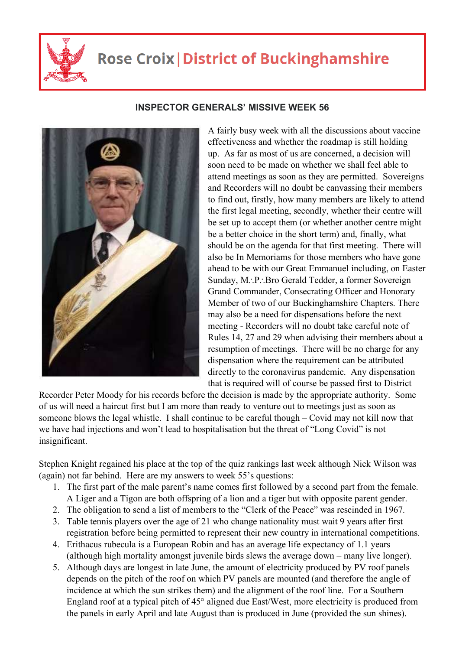

## **Rose Croix | District of Buckinghamshire**



## **INSPECTOR GENERALS' MISSIVE WEEK 56**

A fairly busy week with all the discussions about vaccine effectiveness and whether the roadmap is still holding up. As far as most of us are concerned, a decision will soon need to be made on whether we shall feel able to attend meetings as soon as they are permitted. Sovereigns and Recorders will no doubt be canvassing their members to find out, firstly, how many members are likely to attend the first legal meeting, secondly, whether their centre will be set up to accept them (or whether another centre might be a better choice in the short term) and, finally, what should be on the agenda for that first meeting. There will also be In Memoriams for those members who have gone ahead to be with our Great Emmanuel including, on Easter Sunday, M.: P.: Bro Gerald Tedder, a former Sovereign Grand Commander, Consecrating Officer and Honorary Member of two of our Buckinghamshire Chapters. There may also be a need for dispensations before the next meeting - Recorders will no doubt take careful note of Rules 14, 27 and 29 when advising their members about a resumption of meetings. There will be no charge for any dispensation where the requirement can be attributed directly to the coronavirus pandemic. Any dispensation that is required will of course be passed first to District

Recorder Peter Moody for his records before the decision is made by the appropriate authority. Some of us will need a haircut first but I am more than ready to venture out to meetings just as soon as someone blows the legal whistle. I shall continue to be careful though – Covid may not kill now that we have had injections and won't lead to hospitalisation but the threat of "Long Covid" is not insignificant.

Stephen Knight regained his place at the top of the quiz rankings last week although Nick Wilson was (again) not far behind. Here are my answers to week 55's questions:

- 1. The first part of the male parent's name comes first followed by a second part from the female. A Liger and a Tigon are both offspring of a lion and a tiger but with opposite parent gender.
- 2. The obligation to send a list of members to the "Clerk of the Peace" was rescinded in 1967.
- 3. Table tennis players over the age of 21 who change nationality must wait 9 years after first registration before being permitted to represent their new country in international competitions.
- 4. Erithacus rubecula is a European Robin and has an average life expectancy of 1.1 years (although high mortality amongst juvenile birds slews the average down – many live longer).
- 5. Although days are longest in late June, the amount of electricity produced by PV roof panels depends on the pitch of the roof on which PV panels are mounted (and therefore the angle of incidence at which the sun strikes them) and the alignment of the roof line. For a Southern England roof at a typical pitch of 45° aligned due East/West, more electricity is produced from the panels in early April and late August than is produced in June (provided the sun shines).